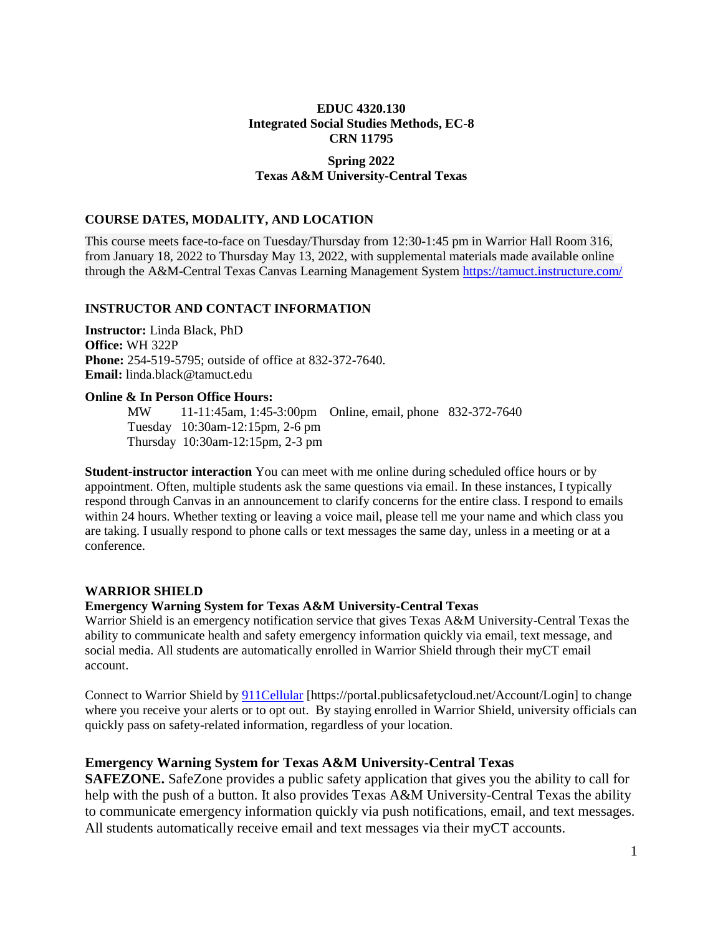## **EDUC 4320.130 Integrated Social Studies Methods, EC-8 CRN 11795**

## **Spring 2022 Texas A&M University-Central Texas**

## **COURSE DATES, MODALITY, AND LOCATION**

This course meets face-to-face on Tuesday/Thursday from 12:30-1:45 pm in Warrior Hall Room 316, from January 18, 2022 to Thursday May 13, 2022, with supplemental materials made available online through the A&M-Central Texas Canvas Learning Management System<https://tamuct.instructure.com/>

## **INSTRUCTOR AND CONTACT INFORMATION**

**Instructor:** Linda Black, PhD **Office:** WH 322P **Phone:** 254-519-5795; outside of office at 832-372-7640. **Email:** linda.black@tamuct.edu

#### **Online & In Person Office Hours:**

MW 11-11:45am, 1:45-3:00pm Online, email, phone 832-372-7640 Tuesday 10:30am-12:15pm, 2-6 pm Thursday 10:30am-12:15pm, 2-3 pm

**Student-instructor interaction** You can meet with me online during scheduled office hours or by appointment. Often, multiple students ask the same questions via email. In these instances, I typically respond through Canvas in an announcement to clarify concerns for the entire class. I respond to emails within 24 hours. Whether texting or leaving a voice mail, please tell me your name and which class you are taking. I usually respond to phone calls or text messages the same day, unless in a meeting or at a conference.

## **WARRIOR SHIELD**

## **Emergency Warning System for Texas A&M University-Central Texas**

Warrior Shield is an emergency notification service that gives Texas A&M University-Central Texas the ability to communicate health and safety emergency information quickly via email, text message, and social media. All students are automatically enrolled in Warrior Shield through their myCT email account.

Connect to Warrior Shield by [911Cellular](https://portal.publicsafetycloud.net/Texas-AM-Central/alert-management) [https://portal.publicsafetycloud.net/Account/Login] to change where you receive your alerts or to opt out. By staying enrolled in Warrior Shield, university officials can quickly pass on safety-related information, regardless of your location.

# **Emergency Warning System for Texas A&M University-Central Texas**

**SAFEZONE.** SafeZone provides a public safety application that gives you the ability to call for help with the push of a button. It also provides Texas A&M University-Central Texas the ability to communicate emergency information quickly via push notifications, email, and text messages. All students automatically receive email and text messages via their myCT accounts.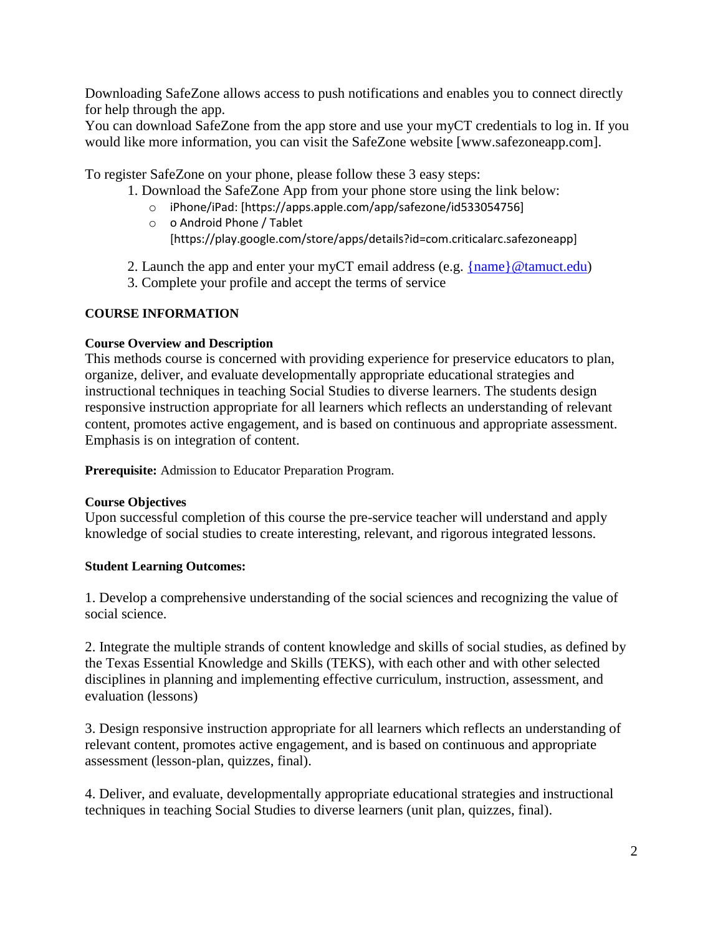Downloading SafeZone allows access to push notifications and enables you to connect directly for help through the app.

You can download SafeZone from the app store and use your myCT credentials to log in. If you would like more information, you can visit the SafeZone website [www.safezoneapp.com].

To register SafeZone on your phone, please follow these 3 easy steps:

- 1. Download the SafeZone App from your phone store using the link below:
	- o iPhone/iPad: [https://apps.apple.com/app/safezone/id533054756]
	- o o Android Phone / Tablet [https://play.google.com/store/apps/details?id=com.criticalarc.safezoneapp]
- 2. Launch the app and enter your myCT email address (e.g.  $\{name\} @ tamuct.edu)$ )
- 3. Complete your profile and accept the terms of service

## **COURSE INFORMATION**

## **Course Overview and Description**

This methods course is concerned with providing experience for preservice educators to plan, organize, deliver, and evaluate developmentally appropriate educational strategies and instructional techniques in teaching Social Studies to diverse learners. The students design responsive instruction appropriate for all learners which reflects an understanding of relevant content, promotes active engagement, and is based on continuous and appropriate assessment. Emphasis is on integration of content.

**Prerequisite:** Admission to Educator Preparation Program.

# **Course Objectives**

Upon successful completion of this course the pre-service teacher will understand and apply knowledge of social studies to create interesting, relevant, and rigorous integrated lessons.

# **Student Learning Outcomes:**

1. Develop a comprehensive understanding of the social sciences and recognizing the value of social science.

2. Integrate the multiple strands of content knowledge and skills of social studies, as defined by the Texas Essential Knowledge and Skills (TEKS), with each other and with other selected disciplines in planning and implementing effective curriculum, instruction, assessment, and evaluation (lessons)

3. Design responsive instruction appropriate for all learners which reflects an understanding of relevant content, promotes active engagement, and is based on continuous and appropriate assessment (lesson-plan, quizzes, final).

4. Deliver, and evaluate, developmentally appropriate educational strategies and instructional techniques in teaching Social Studies to diverse learners (unit plan, quizzes, final).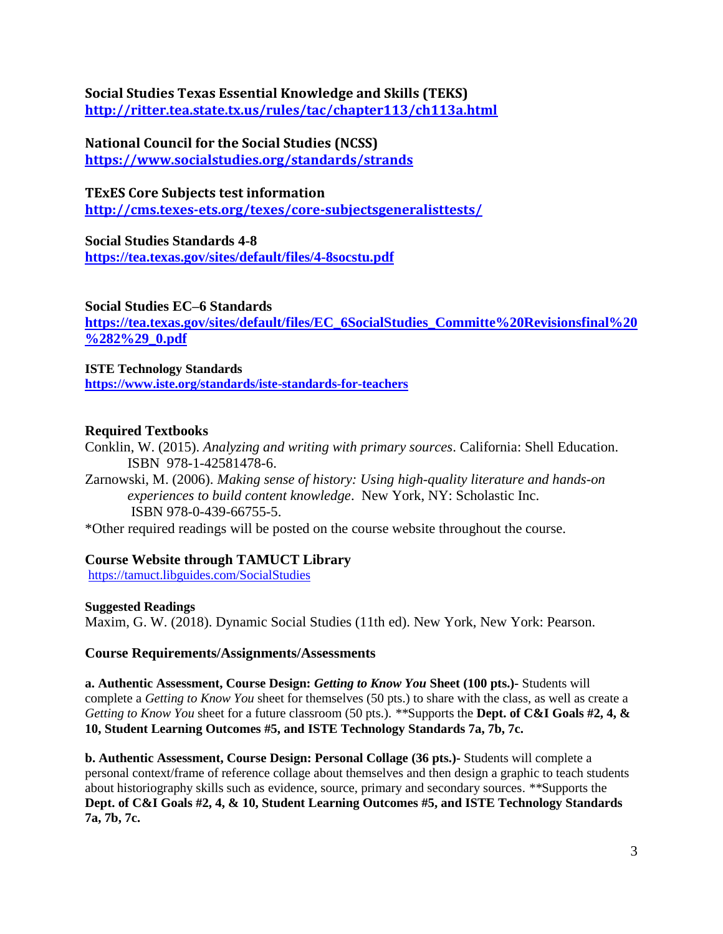**Social Studies Texas Essential Knowledge and Skills (TEKS) <http://ritter.tea.state.tx.us/rules/tac/chapter113/ch113a.html>**

**National Council for the Social Studies (NCSS) <https://www.socialstudies.org/standards/strands>**

**TExES Core Subjects test information <http://cms.texes-ets.org/texes/core-subjectsgeneralisttests/>**

**Social Studies Standards 4-8 <https://tea.texas.gov/sites/default/files/4-8socstu.pdf>**

**Social Studies EC–6 Standards**

**[https://tea.texas.gov/sites/default/files/EC\\_6SocialStudies\\_Committe%20Revisionsfinal%20](https://tea.texas.gov/sites/default/files/EC_6SocialStudies_Committe%20Revisionsfinal%20%282%29_0.pdf) [%282%29\\_0.pdf](https://tea.texas.gov/sites/default/files/EC_6SocialStudies_Committe%20Revisionsfinal%20%282%29_0.pdf)**

**ISTE Technology Standards <https://www.iste.org/standards/iste-standards-for-teachers>**

# **Required Textbooks**

Conklin, W. (2015). *Analyzing and writing with primary sources*. California: Shell Education. ISBN 978-1-42581478-6.

Zarnowski, M. (2006). *Making sense of history: Using high-quality literature and hands-on experiences to build content knowledge*. New York, NY: Scholastic Inc. ISBN 978-0-439-66755-5.

\*Other required readings will be posted on the course website throughout the course.

# **Course Website through TAMUCT Library**

[https://tamuct.libguides.com/SocialStudies](https://nam04.safelinks.protection.outlook.com/?url=https%3A%2F%2Ftamuct.libguides.com%2FSocialStudies&data=04%7C01%7Clinda.black%40tamuct.edu%7Cf410c3c0ee77495c402708d96353a9d6%7C9eed4e3000f744849ff193ad8005acec%7C0%7C0%7C637650033238931587%7CUnknown%7CTWFpbGZsb3d8eyJWIjoiMC4wLjAwMDAiLCJQIjoiV2luMzIiLCJBTiI6Ik1haWwiLCJXVCI6Mn0%3D%7C1000&sdata=4cLthqA1gCS%2BfpD0RY9OMGYtDJan9gSFvXsTvJJHF7k%3D&reserved=0)

# **Suggested Readings**

Maxim, G. W. (2018). Dynamic Social Studies (11th ed). New York, New York: Pearson.

# **Course Requirements/Assignments/Assessments**

**a. Authentic Assessment, Course Design:** *Getting to Know You* **Sheet (100 pts.)-** Students will complete a *Getting to Know You* sheet for themselves (50 pts.) to share with the class, as well as create a *Getting to Know You* sheet for a future classroom (50 pts.). *\*\**Supports the **Dept. of C&I Goals #2, 4, & 10, Student Learning Outcomes #5, and ISTE Technology Standards 7a, 7b, 7c.**

**b. Authentic Assessment, Course Design: Personal Collage (36 pts.)-** Students will complete a personal context/frame of reference collage about themselves and then design a graphic to teach students about historiography skills such as evidence, source, primary and secondary sources. *\*\**Supports the **Dept. of C&I Goals #2, 4, & 10, Student Learning Outcomes #5, and ISTE Technology Standards 7a, 7b, 7c.**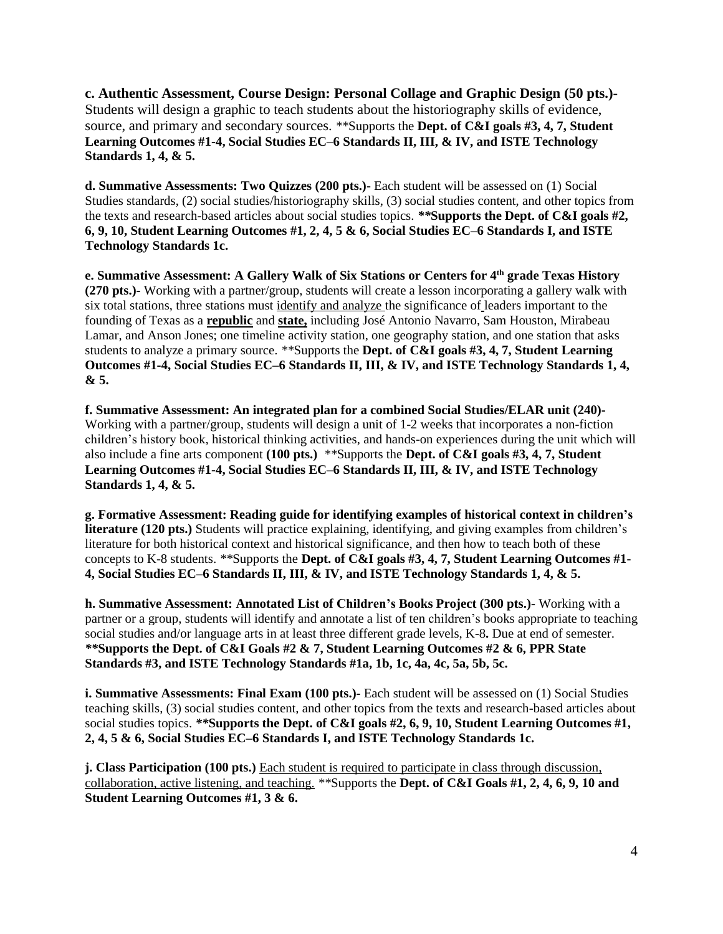**c. Authentic Assessment, Course Design: Personal Collage and Graphic Design (50 pts.)-** Students will design a graphic to teach students about the historiography skills of evidence, source, and primary and secondary sources. *\*\**Supports the **Dept. of C&I goals #3, 4, 7, Student Learning Outcomes #1-4, Social Studies EC–6 Standards II, III, & IV, and ISTE Technology Standards 1, 4, & 5.**

**d. Summative Assessments: Two Quizzes (200 pts.)-** Each student will be assessed on (1) Social Studies standards, (2) social studies/historiography skills, (3) social studies content, and other topics from the texts and research-based articles about social studies topics. *\*\****Supports the Dept. of C&I goals #2, 6, 9, 10, Student Learning Outcomes #1, 2, 4, 5 & 6, Social Studies EC–6 Standards I, and ISTE Technology Standards 1c.**

**e. Summative Assessment: A Gallery Walk of Six Stations or Centers for 4th grade Texas History (270 pts.)-** Working with a partner/group, students will create a lesson incorporating a gallery walk with six total stations, three stations must identify and analyze the significance of leaders important to the founding of Texas as a **republic** and **state,** including José Antonio Navarro, Sam Houston, Mirabeau Lamar, and Anson Jones; one timeline activity station, one geography station, and one station that asks students to analyze a primary source. *\*\**Supports the **Dept. of C&I goals #3, 4, 7, Student Learning Outcomes #1-4, Social Studies EC–6 Standards II, III, & IV, and ISTE Technology Standards 1, 4, & 5.**

**f. Summative Assessment: An integrated plan for a combined Social Studies/ELAR unit (240)-** Working with a partner/group, students will design a unit of 1-2 weeks that incorporates a non-fiction children's history book, historical thinking activities, and hands-on experiences during the unit which will also include a fine arts component **(100 pts.)** *\*\**Supports the **Dept. of C&I goals #3, 4, 7, Student Learning Outcomes #1-4, Social Studies EC–6 Standards II, III, & IV, and ISTE Technology Standards 1, 4, & 5.**

**g. Formative Assessment: Reading guide for identifying examples of historical context in children's literature (120 pts.)** Students will practice explaining, identifying, and giving examples from children's literature for both historical context and historical significance, and then how to teach both of these concepts to K-8 students. *\*\**Supports the **Dept. of C&I goals #3, 4, 7, Student Learning Outcomes #1- 4, Social Studies EC–6 Standards II, III, & IV, and ISTE Technology Standards 1, 4, & 5.**

**h. Summative Assessment: Annotated List of Children's Books Project (300 pts.)-** Working with a partner or a group, students will identify and annotate a list of ten children's books appropriate to teaching social studies and/or language arts in at least three different grade levels, K-8**.** Due at end of semester. *\*\****Supports the Dept. of C&I Goals #2 & 7, Student Learning Outcomes #2 & 6, PPR State Standards #3, and ISTE Technology Standards #1a, 1b, 1c, 4a, 4c, 5a, 5b, 5c.**

**i. Summative Assessments: Final Exam (100 pts.)- Each student will be assessed on (1) Social Studies** teaching skills, (3) social studies content, and other topics from the texts and research-based articles about social studies topics. *\*\****Supports the Dept. of C&I goals #2, 6, 9, 10, Student Learning Outcomes #1, 2, 4, 5 & 6, Social Studies EC–6 Standards I, and ISTE Technology Standards 1c.**

**j. Class Participation (100 pts.)** Each student is required to participate in class through discussion, collaboration, active listening, and teaching. *\*\**Supports the **Dept. of C&I Goals #1, 2, 4, 6, 9, 10 and Student Learning Outcomes #1, 3 & 6.**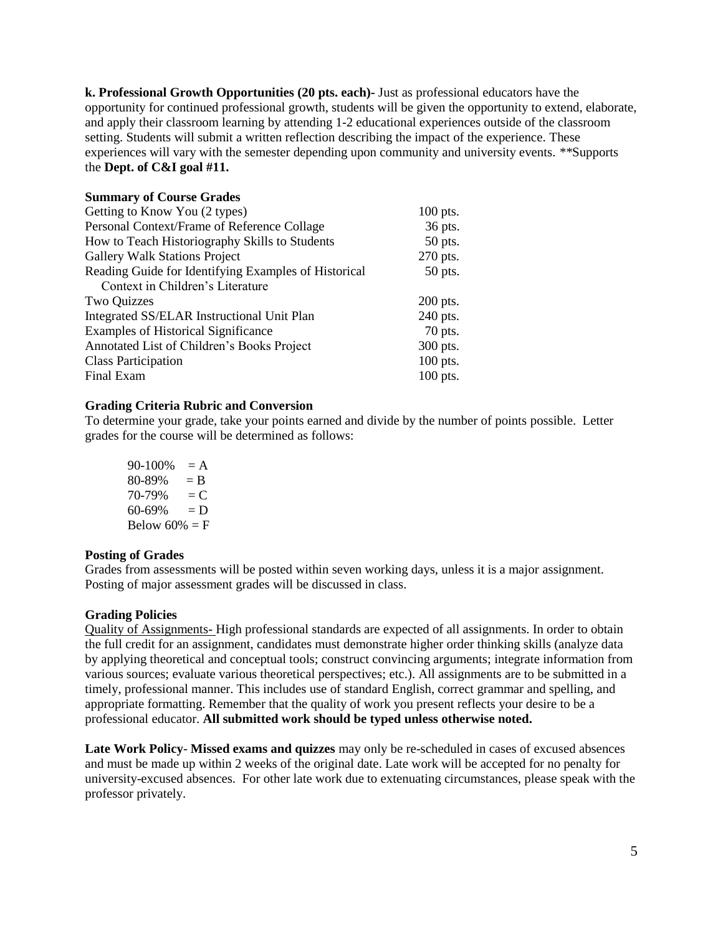**k. Professional Growth Opportunities (20 pts. each)-** Just as professional educators have the opportunity for continued professional growth, students will be given the opportunity to extend, elaborate, and apply their classroom learning by attending 1-2 educational experiences outside of the classroom setting. Students will submit a written reflection describing the impact of the experience. These experiences will vary with the semester depending upon community and university events. *\*\**Supports the **Dept. of C&I goal #11.**

| <b>Summary of Course Grades</b>                      |            |
|------------------------------------------------------|------------|
| Getting to Know You (2 types)                        | $100$ pts. |
| Personal Context/Frame of Reference Collage          | 36 pts.    |
| How to Teach Historiography Skills to Students       | 50 pts.    |
| <b>Gallery Walk Stations Project</b>                 | 270 pts.   |
| Reading Guide for Identifying Examples of Historical | 50 pts.    |
| Context in Children's Literature                     |            |
| Two Quizzes                                          | $200$ pts. |
| Integrated SS/ELAR Instructional Unit Plan           | 240 pts.   |
| <b>Examples of Historical Significance</b>           | 70 pts.    |
| Annotated List of Children's Books Project           | 300 pts.   |
| <b>Class Participation</b>                           | 100 pts.   |
| Final Exam                                           | 100 pts.   |

## **Grading Criteria Rubric and Conversion**

To determine your grade, take your points earned and divide by the number of points possible. Letter grades for the course will be determined as follows:

 $90-100\% = A$  $80-89\% = B$  $70-79\% = C$  $60-69\% = D$ Below  $60\% = F$ 

#### **Posting of Grades**

Grades from assessments will be posted within seven working days, unless it is a major assignment. Posting of major assessment grades will be discussed in class.

#### **Grading Policies**

Quality of Assignments- High professional standards are expected of all assignments. In order to obtain the full credit for an assignment, candidates must demonstrate higher order thinking skills (analyze data by applying theoretical and conceptual tools; construct convincing arguments; integrate information from various sources; evaluate various theoretical perspectives; etc.). All assignments are to be submitted in a timely, professional manner. This includes use of standard English, correct grammar and spelling, and appropriate formatting. Remember that the quality of work you present reflects your desire to be a professional educator. **All submitted work should be typed unless otherwise noted.**

**Late Work Policy**- **Missed exams and quizzes** may only be re-scheduled in cases of excused absences and must be made up within 2 weeks of the original date. Late work will be accepted for no penalty for university-excused absences. For other late work due to extenuating circumstances, please speak with the professor privately.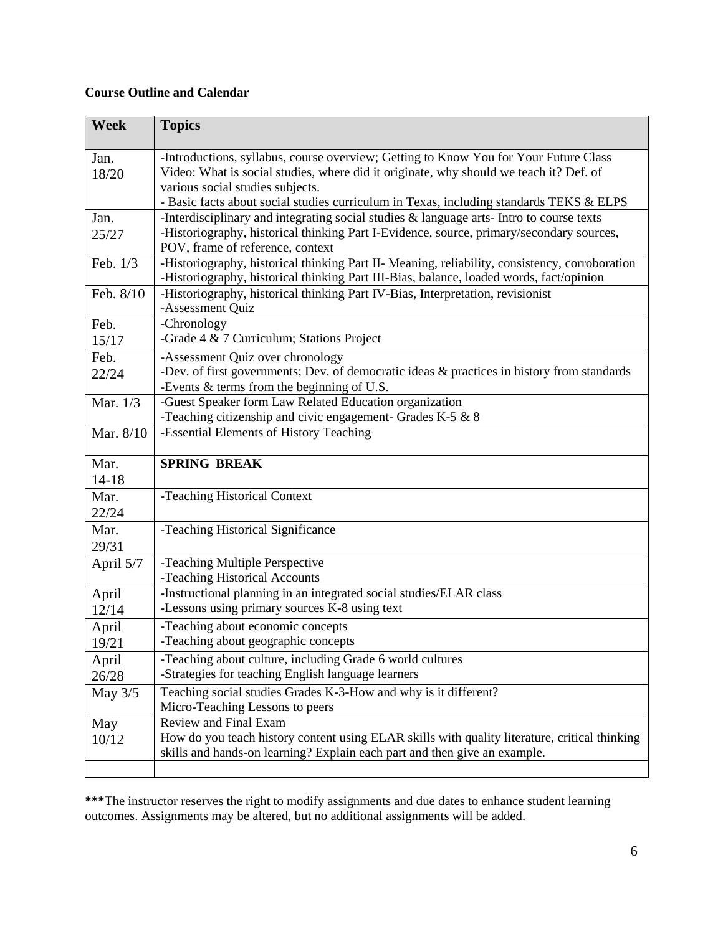# **Course Outline and Calendar**

| Week              | <b>Topics</b>                                                                                                                                                                                                                                                                                                 |
|-------------------|---------------------------------------------------------------------------------------------------------------------------------------------------------------------------------------------------------------------------------------------------------------------------------------------------------------|
| Jan.<br>18/20     | -Introductions, syllabus, course overview; Getting to Know You for Your Future Class<br>Video: What is social studies, where did it originate, why should we teach it? Def. of<br>various social studies subjects.<br>- Basic facts about social studies curriculum in Texas, including standards TEKS & ELPS |
| Jan.<br>25/27     | -Interdisciplinary and integrating social studies & language arts-Intro to course texts<br>-Historiography, historical thinking Part I-Evidence, source, primary/secondary sources,<br>POV, frame of reference, context                                                                                       |
| Feb. 1/3          | -Historiography, historical thinking Part II- Meaning, reliability, consistency, corroboration<br>-Historiography, historical thinking Part III-Bias, balance, loaded words, fact/opinion                                                                                                                     |
| Feb. 8/10         | -Historiography, historical thinking Part IV-Bias, Interpretation, revisionist<br>-Assessment Quiz                                                                                                                                                                                                            |
| Feb.<br>15/17     | -Chronology<br>-Grade 4 & 7 Curriculum; Stations Project                                                                                                                                                                                                                                                      |
| Feb.<br>22/24     | -Assessment Quiz over chronology<br>-Dev. of first governments; Dev. of democratic ideas & practices in history from standards<br>-Events & terms from the beginning of U.S.                                                                                                                                  |
| Mar. 1/3          | -Guest Speaker form Law Related Education organization<br>-Teaching citizenship and civic engagement- Grades K-5 $&8$                                                                                                                                                                                         |
| Mar. 8/10         | -Essential Elements of History Teaching                                                                                                                                                                                                                                                                       |
| Mar.<br>$14 - 18$ | <b>SPRING BREAK</b>                                                                                                                                                                                                                                                                                           |
| Mar.<br>22/24     | -Teaching Historical Context                                                                                                                                                                                                                                                                                  |
| Mar.<br>29/31     | -Teaching Historical Significance                                                                                                                                                                                                                                                                             |
| April 5/7         | -Teaching Multiple Perspective<br>-Teaching Historical Accounts                                                                                                                                                                                                                                               |
| April<br>12/14    | -Instructional planning in an integrated social studies/ELAR class<br>-Lessons using primary sources K-8 using text                                                                                                                                                                                           |
| April<br>19/21    | -Teaching about economic concepts<br>-Teaching about geographic concepts                                                                                                                                                                                                                                      |
| April<br>26/28    | -Teaching about culture, including Grade 6 world cultures<br>-Strategies for teaching English language learners                                                                                                                                                                                               |
| May 3/5           | Teaching social studies Grades K-3-How and why is it different?<br>Micro-Teaching Lessons to peers                                                                                                                                                                                                            |
| May<br>10/12      | Review and Final Exam<br>How do you teach history content using ELAR skills with quality literature, critical thinking<br>skills and hands-on learning? Explain each part and then give an example.                                                                                                           |

**\*\*\***The instructor reserves the right to modify assignments and due dates to enhance student learning outcomes. Assignments may be altered, but no additional assignments will be added.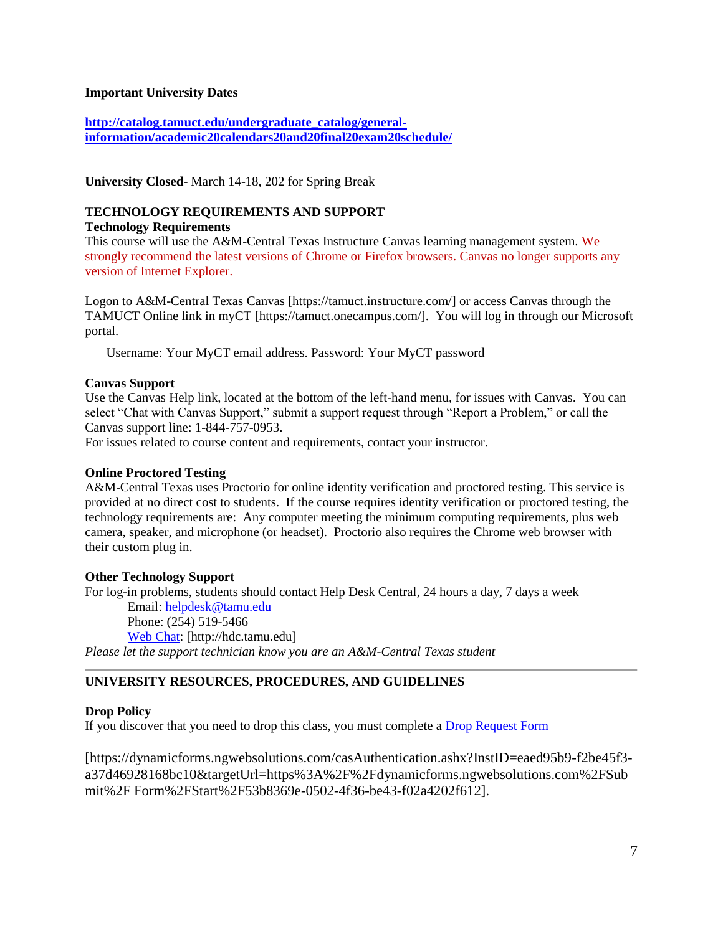## **Important University Dates**

**[http://catalog.tamuct.edu/undergraduate\\_catalog/general](http://catalog.tamuct.edu/undergraduate_catalog/general-information/academic20calendars20and20final20exam20schedule/)[information/academic20calendars20and20final20exam20schedule/](http://catalog.tamuct.edu/undergraduate_catalog/general-information/academic20calendars20and20final20exam20schedule/)**

**University Closed**- March 14-18, 202 for Spring Break

# **TECHNOLOGY REQUIREMENTS AND SUPPORT**

**Technology Requirements**

This course will use the A&M-Central Texas Instructure Canvas learning management system. We strongly recommend the latest versions of Chrome or Firefox browsers. Canvas no longer supports any version of Internet Explorer.

Logon to A&M-Central Texas Canvas [https://tamuct.instructure.com/] or access Canvas through the TAMUCT Online link in myCT [https://tamuct.onecampus.com/]. You will log in through our Microsoft portal.

Username: Your MyCT email address. Password: Your MyCT password

#### **Canvas Support**

Use the Canvas Help link, located at the bottom of the left-hand menu, for issues with Canvas. You can select "Chat with Canvas Support," submit a support request through "Report a Problem," or call the Canvas support line: 1-844-757-0953.

For issues related to course content and requirements, contact your instructor.

#### **Online Proctored Testing**

A&M-Central Texas uses Proctorio for online identity verification and proctored testing. This service is provided at no direct cost to students. If the course requires identity verification or proctored testing, the technology requirements are: Any computer meeting the minimum computing requirements, plus web camera, speaker, and microphone (or headset). Proctorio also requires the Chrome web browser with their custom plug in.

#### **Other Technology Support**

For log-in problems, students should contact Help Desk Central, 24 hours a day, 7 days a week Email: [helpdesk@tamu.edu](mailto:helpdesk@tamu.edu) Phone: (254) 519-5466 [Web Chat:](http://hdc.tamu.edu/) [http://hdc.tamu.edu] *Please let the support technician know you are an A&M-Central Texas student*

# **UNIVERSITY RESOURCES, PROCEDURES, AND GUIDELINES**

## **Drop Policy**

If you discover that you need to drop this class, you must complete a **Drop Request Form** 

[https://dynamicforms.ngwebsolutions.com/casAuthentication.ashx?InstID=eaed95b9-f2be45f3 a37d46928168bc10&targetUrl=https%3A%2F%2Fdynamicforms.ngwebsolutions.com%2FSub mit%2F Form%2FStart%2F53b8369e-0502-4f36-be43-f02a4202f612].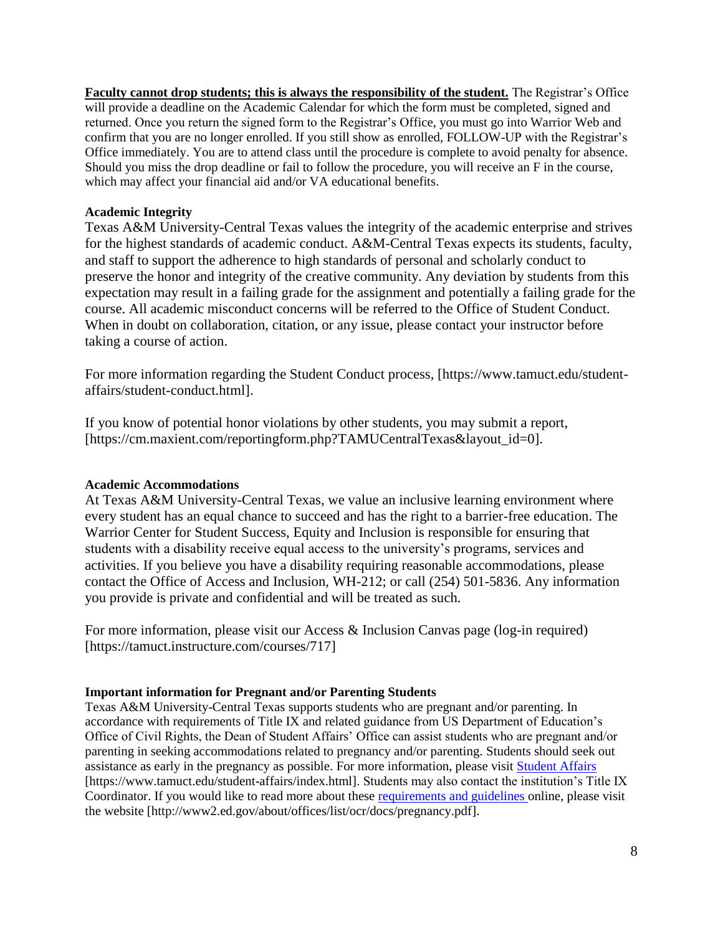**Faculty cannot drop students; this is always the responsibility of the student.** The Registrar's Office will provide a deadline on the Academic Calendar for which the form must be completed, signed and returned. Once you return the signed form to the Registrar's Office, you must go into Warrior Web and confirm that you are no longer enrolled. If you still show as enrolled, FOLLOW-UP with the Registrar's Office immediately. You are to attend class until the procedure is complete to avoid penalty for absence. Should you miss the drop deadline or fail to follow the procedure, you will receive an F in the course, which may affect your financial aid and/or VA educational benefits.

## **Academic Integrity**

Texas A&M University-Central Texas values the integrity of the academic enterprise and strives for the highest standards of academic conduct. A&M-Central Texas expects its students, faculty, and staff to support the adherence to high standards of personal and scholarly conduct to preserve the honor and integrity of the creative community. Any deviation by students from this expectation may result in a failing grade for the assignment and potentially a failing grade for the course. All academic misconduct concerns will be referred to the Office of Student Conduct. When in doubt on collaboration, citation, or any issue, please contact your instructor before taking a course of action.

For more information regarding the Student Conduct process, [https://www.tamuct.edu/studentaffairs/student-conduct.html].

If you know of potential honor violations by other students, you may submit a report, [https://cm.maxient.com/reportingform.php?TAMUCentralTexas&layout\_id=0].

## **Academic Accommodations**

At Texas A&M University-Central Texas, we value an inclusive learning environment where every student has an equal chance to succeed and has the right to a barrier-free education. The Warrior Center for Student Success, Equity and Inclusion is responsible for ensuring that students with a disability receive equal access to the university's programs, services and activities. If you believe you have a disability requiring reasonable accommodations, please contact the Office of Access and Inclusion, WH-212; or call (254) 501-5836. Any information you provide is private and confidential and will be treated as such.

For more information, please visit our Access & Inclusion Canvas page (log-in required) [https://tamuct.instructure.com/courses/717]

## **Important information for Pregnant and/or Parenting Students**

Texas A&M University-Central Texas supports students who are pregnant and/or parenting. In accordance with requirements of Title IX and related guidance from US Department of Education's Office of Civil Rights, the Dean of Student Affairs' Office can assist students who are pregnant and/or parenting in seeking accommodations related to pregnancy and/or parenting. Students should seek out assistance as early in the pregnancy as possible. For more information, please visit [Student Affairs](https://www.tamuct.edu/student-affairs/index.html) [https://www.tamuct.edu/student-affairs/index.html]. Students may also contact the institution's Title IX Coordinator. If you would like to read more about these [requirements and guidelines](http://www2.ed.gov/about/offices/list/ocr/docs/pregnancy.pdf) online, please visit the website [http://www2.ed.gov/about/offices/list/ocr/docs/pregnancy.pdf].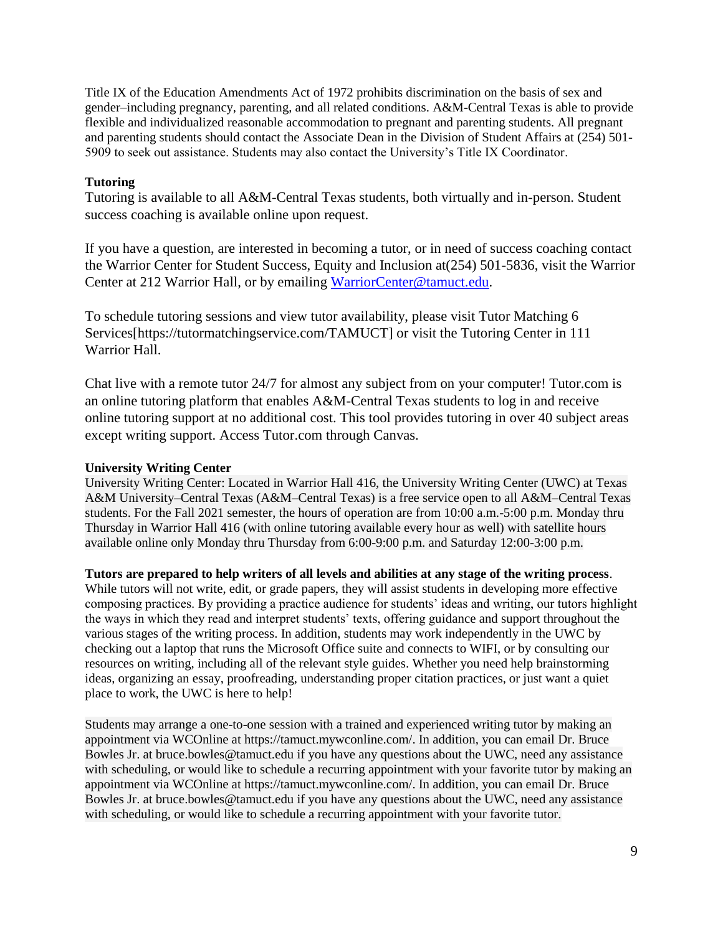Title IX of the Education Amendments Act of 1972 prohibits discrimination on the basis of sex and gender–including pregnancy, parenting, and all related conditions. A&M-Central Texas is able to provide flexible and individualized reasonable accommodation to pregnant and parenting students. All pregnant and parenting students should contact the Associate Dean in the Division of Student Affairs at (254) 501- 5909 to seek out assistance. Students may also contact the University's Title IX Coordinator.

## **Tutoring**

Tutoring is available to all A&M-Central Texas students, both virtually and in-person. Student success coaching is available online upon request.

If you have a question, are interested in becoming a tutor, or in need of success coaching contact the Warrior Center for Student Success, Equity and Inclusion at(254) 501-5836, visit the Warrior Center at 212 Warrior Hall, or by emailing [WarriorCenter@tamuct.edu.](mailto:WarriorCenter@tamuct.edu)

To schedule tutoring sessions and view tutor availability, please visit Tutor Matching 6 Services[https://tutormatchingservice.com/TAMUCT] or visit the Tutoring Center in 111 Warrior Hall.

Chat live with a remote tutor 24/7 for almost any subject from on your computer! Tutor.com is an online tutoring platform that enables A&M-Central Texas students to log in and receive online tutoring support at no additional cost. This tool provides tutoring in over 40 subject areas except writing support. Access Tutor.com through Canvas.

## **University Writing Center**

University Writing Center: Located in Warrior Hall 416, the University Writing Center (UWC) at Texas A&M University–Central Texas (A&M–Central Texas) is a free service open to all A&M–Central Texas students. For the Fall 2021 semester, the hours of operation are from 10:00 a.m.-5:00 p.m. Monday thru Thursday in Warrior Hall 416 (with online tutoring available every hour as well) with satellite hours available online only Monday thru Thursday from 6:00-9:00 p.m. and Saturday 12:00-3:00 p.m.

## **Tutors are prepared to help writers of all levels and abilities at any stage of the writing process**.

While tutors will not write, edit, or grade papers, they will assist students in developing more effective composing practices. By providing a practice audience for students' ideas and writing, our tutors highlight the ways in which they read and interpret students' texts, offering guidance and support throughout the various stages of the writing process. In addition, students may work independently in the UWC by checking out a laptop that runs the Microsoft Office suite and connects to WIFI, or by consulting our resources on writing, including all of the relevant style guides. Whether you need help brainstorming ideas, organizing an essay, proofreading, understanding proper citation practices, or just want a quiet place to work, the UWC is here to help!

Students may arrange a one-to-one session with a trained and experienced writing tutor by making an appointment via WCOnline at https://tamuct.mywconline.com/. In addition, you can email Dr. Bruce Bowles Jr. at bruce.bowles@tamuct.edu if you have any questions about the UWC, need any assistance with scheduling, or would like to schedule a recurring appointment with your favorite tutor by making an appointment via WCOnline at https://tamuct.mywconline.com/. In addition, you can email Dr. Bruce Bowles Jr. at bruce.bowles@tamuct.edu if you have any questions about the UWC, need any assistance with scheduling, or would like to schedule a recurring appointment with your favorite tutor.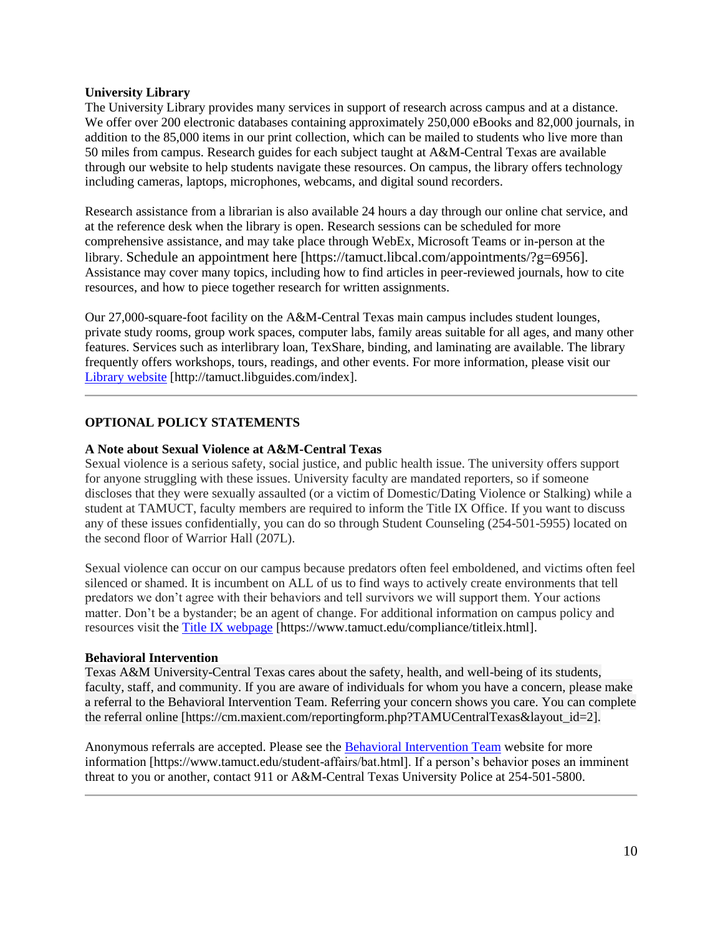## **University Library**

The University Library provides many services in support of research across campus and at a distance. We offer over 200 electronic databases containing approximately 250,000 eBooks and 82,000 journals, in addition to the 85,000 items in our print collection, which can be mailed to students who live more than 50 miles from campus. Research guides for each subject taught at A&M-Central Texas are available through our website to help students navigate these resources. On campus, the library offers technology including cameras, laptops, microphones, webcams, and digital sound recorders.

Research assistance from a librarian is also available 24 hours a day through our online chat service, and at the reference desk when the library is open. Research sessions can be scheduled for more comprehensive assistance, and may take place through WebEx, Microsoft Teams or in-person at the library. Schedule an appointment here [https://tamuct.libcal.com/appointments/?g=6956]. Assistance may cover many topics, including how to find articles in peer-reviewed journals, how to cite resources, and how to piece together research for written assignments.

Our 27,000-square-foot facility on the A&M-Central Texas main campus includes student lounges, private study rooms, group work spaces, computer labs, family areas suitable for all ages, and many other features. Services such as interlibrary loan, TexShare, binding, and laminating are available. The library frequently offers workshops, tours, readings, and other events. For more information, please visit our [Library website](https://tamuct.libguides.com/index) [http://tamuct.libguides.com/index].

## **OPTIONAL POLICY STATEMENTS**

#### **A Note about Sexual Violence at A&M-Central Texas**

Sexual violence is a serious safety, social justice, and public health issue. The university offers support for anyone struggling with these issues. University faculty are mandated reporters, so if someone discloses that they were sexually assaulted (or a victim of Domestic/Dating Violence or Stalking) while a student at TAMUCT, faculty members are required to inform the Title IX Office. If you want to discuss any of these issues confidentially, you can do so through Student Counseling (254-501-5955) located on the second floor of Warrior Hall (207L).

Sexual violence can occur on our campus because predators often feel emboldened, and victims often feel silenced or shamed. It is incumbent on ALL of us to find ways to actively create environments that tell predators we don't agree with their behaviors and tell survivors we will support them. Your actions matter. Don't be a bystander; be an agent of change. For additional information on campus policy and resources visit the [Title IX webpage](https://www.tamuct.edu/compliance/titleix.html) [\[https://www.tamuct.edu/compliance/titleix.html\]](https://www.tamuct.edu/compliance/titleix.html).

#### **Behavioral Intervention**

Texas A&M University-Central Texas cares about the safety, health, and well-being of its students, faculty, staff, and community. If you are aware of individuals for whom you have a concern, please make a referral to the Behavioral Intervention Team. Referring your concern shows you care. You can complete the referral online [https://cm.maxient.com/reportingform.php?TAMUCentralTexas&layout\_id=2].

Anonymous referrals are accepted. Please see the [Behavioral Intervention Team](https://www.tamuct.edu/student-affairs/bat.html) website for more information [https://www.tamuct.edu/student-affairs/bat.html]. If a person's behavior poses an imminent threat to you or another, contact 911 or A&M-Central Texas University Police at 254-501-5800.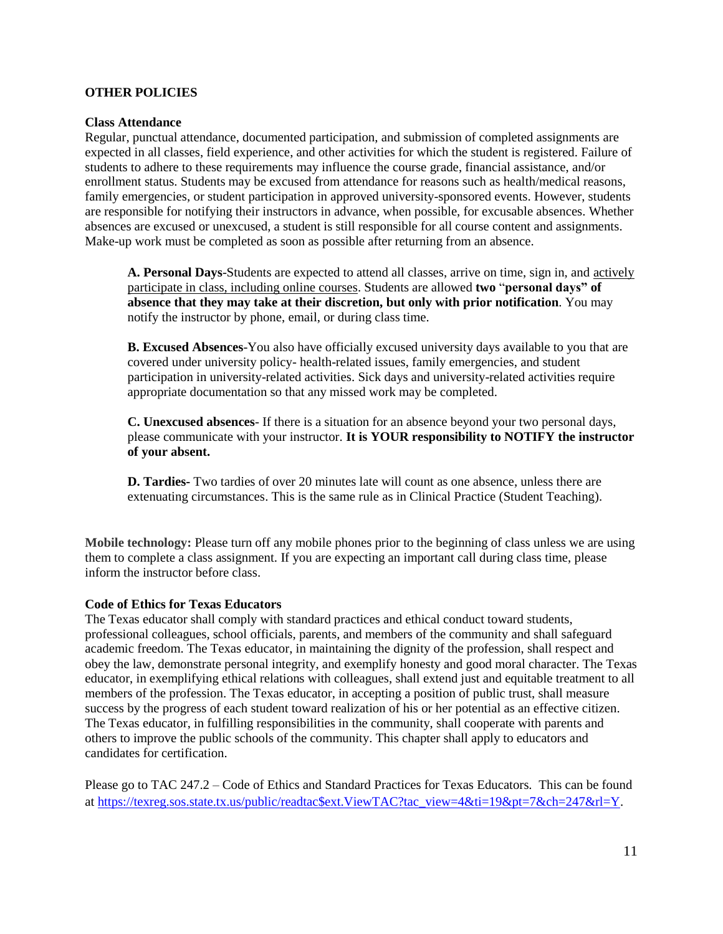## **OTHER POLICIES**

#### **Class Attendance**

Regular, punctual attendance, documented participation, and submission of completed assignments are expected in all classes, field experience, and other activities for which the student is registered. Failure of students to adhere to these requirements may influence the course grade, financial assistance, and/or enrollment status. Students may be excused from attendance for reasons such as health/medical reasons, family emergencies, or student participation in approved university-sponsored events. However, students are responsible for notifying their instructors in advance, when possible, for excusable absences. Whether absences are excused or unexcused, a student is still responsible for all course content and assignments. Make-up work must be completed as soon as possible after returning from an absence.

**A. Personal Days**-Students are expected to attend all classes, arrive on time, sign in, and actively participate in class, including online courses. Students are allowed **two** "**personal days" of absence that they may take at their discretion, but only with prior notification**. You may notify the instructor by phone, email, or during class time.

**B. Excused Absences**-You also have officially excused university days available to you that are covered under university policy- health-related issues, family emergencies, and student participation in university-related activities. Sick days and university-related activities require appropriate documentation so that any missed work may be completed.

**C. Unexcused absences**- If there is a situation for an absence beyond your two personal days, please communicate with your instructor. **It is YOUR responsibility to NOTIFY the instructor of your absent.** 

**D. Tardies-** Two tardies of over 20 minutes late will count as one absence, unless there are extenuating circumstances. This is the same rule as in Clinical Practice (Student Teaching).

**Mobile technology:** Please turn off any mobile phones prior to the beginning of class unless we are using them to complete a class assignment. If you are expecting an important call during class time, please inform the instructor before class.

#### **Code of Ethics for Texas Educators**

The Texas educator shall comply with standard practices and ethical conduct toward students, professional colleagues, school officials, parents, and members of the community and shall safeguard academic freedom. The Texas educator, in maintaining the dignity of the profession, shall respect and obey the law, demonstrate personal integrity, and exemplify honesty and good moral character. The Texas educator, in exemplifying ethical relations with colleagues, shall extend just and equitable treatment to all members of the profession. The Texas educator, in accepting a position of public trust, shall measure success by the progress of each student toward realization of his or her potential as an effective citizen. The Texas educator, in fulfilling responsibilities in the community, shall cooperate with parents and others to improve the public schools of the community. This chapter shall apply to educators and candidates for certification.

Please go to TAC 247.2 – Code of Ethics and Standard Practices for Texas Educators. This can be found at [https://texreg.sos.state.tx.us/public/readtac\\$ext.ViewTAC?tac\\_view=4&ti=19&pt=7&ch=247&rl=Y.](https://texreg.sos.state.tx.us/public/readtac$ext.ViewTAC?tac_view=4&ti=19&pt=7&ch=247&rl=Y)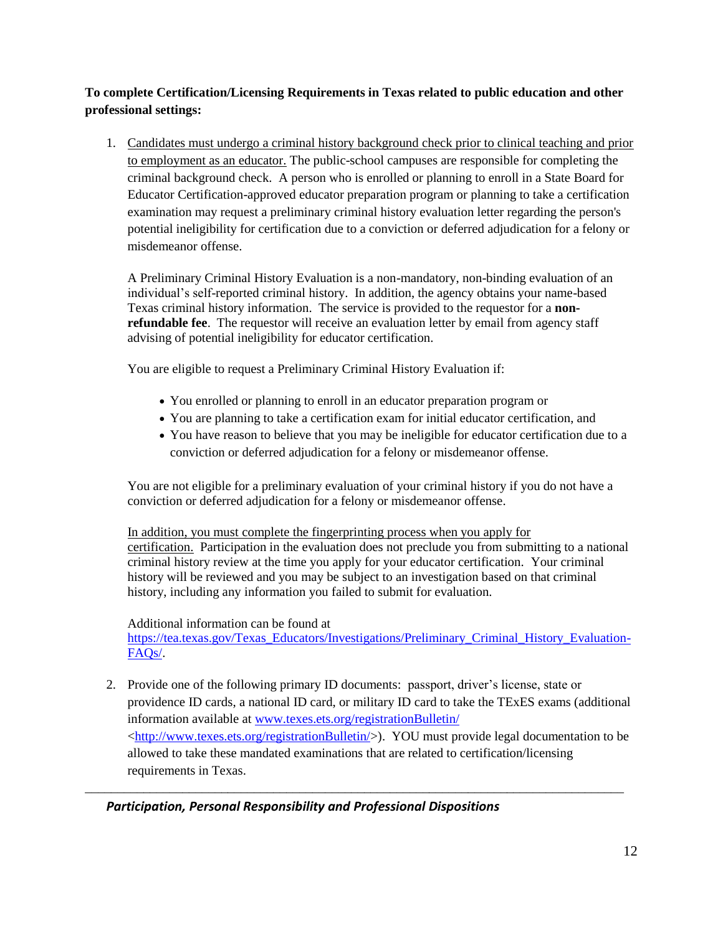# **To complete Certification/Licensing Requirements in Texas related to public education and other professional settings:**

1. Candidates must undergo a criminal history background check prior to clinical teaching and prior to employment as an educator. The public-school campuses are responsible for completing the criminal background check. A person who is enrolled or planning to enroll in a State Board for Educator Certification-approved educator preparation program or planning to take a certification examination may request a preliminary criminal history evaluation letter regarding the person's potential ineligibility for certification due to a conviction or deferred adjudication for a felony or misdemeanor offense.

A Preliminary Criminal History Evaluation is a non-mandatory, non-binding evaluation of an individual's self-reported criminal history. In addition, the agency obtains your name-based Texas criminal history information. The service is provided to the requestor for a **nonrefundable fee**. The requestor will receive an evaluation letter by email from agency staff advising of potential ineligibility for educator certification.

You are eligible to request a Preliminary Criminal History Evaluation if:

- You enrolled or planning to enroll in an educator preparation program or
- You are planning to take a certification exam for initial educator certification, and
- You have reason to believe that you may be ineligible for educator certification due to a conviction or deferred adjudication for a felony or misdemeanor offense.

You are not eligible for a preliminary evaluation of your criminal history if you do not have a conviction or deferred adjudication for a felony or misdemeanor offense.

In addition, you must complete the fingerprinting process when you apply for certification. Participation in the evaluation does not preclude you from submitting to a national criminal history review at the time you apply for your educator certification. Your criminal history will be reviewed and you may be subject to an investigation based on that criminal history, including any information you failed to submit for evaluation.

Additional information can be found at

[https://tea.texas.gov/Texas\\_Educators/Investigations/Preliminary\\_Criminal\\_History\\_Evaluation-](https://tea.texas.gov/Texas_Educators/Investigations/Preliminary_Criminal_History_Evaluation-FAQs/)[FAQs/.](https://tea.texas.gov/Texas_Educators/Investigations/Preliminary_Criminal_History_Evaluation-FAQs/)

2. Provide one of the following primary ID documents: passport, driver's license, state or providence ID cards, a national ID card, or military ID card to take the TExES exams (additional information available at [www.texes.ets.org/registrationBulletin/](http://www.texes.ets.org/registrationBulletin/)  [<http://www.texes.ets.org/registrationBulletin/>](http://www.texes.ets.org/registrationBulletin/)). YOU must provide legal documentation to be allowed to take these mandated examinations that are related to certification/licensing requirements in Texas.

\_\_\_\_\_\_\_\_\_\_\_\_\_\_\_\_\_\_\_\_\_\_\_\_\_\_\_\_\_\_\_\_\_\_\_\_\_\_\_\_\_\_\_\_\_\_\_\_\_\_\_\_\_\_\_\_\_\_\_\_\_\_\_\_\_\_\_\_\_\_\_\_\_\_\_\_\_\_\_\_\_\_\_

# *Participation, Personal Responsibility and Professional Dispositions*